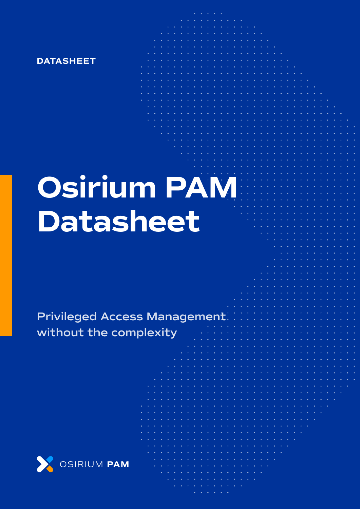

# **Osirium PAM Datasheet**

# **Privileged Access Management without the complexity**

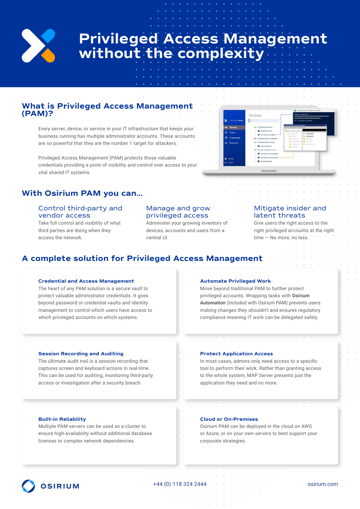

# **Privileged Access Management without the complexity**

## **What is Privileged Access Management (PAM)?**

Every server, device, or service in your IT infrastructure that keeps your business running has multiple administrator accounts. These accounts are so powerful that they are the number 1 target for attackers.

Privileged Access Management (PAM) protects those valuable credentials providing a point of visibility and control over access to your vital shared IT systems.

# **With Osirium PAM you can…**

#### Control third-party and vendor access

Take full control and visibility of what third parties are doing when they access the network.

#### Manage and grow privileged access

Administer your growing inventory of devices, accounts and users from a central UI.



#### Mitigate insider and latent threats

Give users the right access to the right privileged accounts at the right time — No more, no less.

# **A complete solution for Privileged Access Management**

#### **Credential and Access Management**

The heart of any PAM solution is a secure vault to protect valuable administrator credentials. It goes beyond password or credential vaults and identity management to control which users have access to which privileged accounts on which systems.

#### **Session Recording and Auditing**

The ultimate audit trail is a session recording that captures screen and keyboard actions in real-time. This can be used for auditing, monitoring third-party access or investigation after a security breach.

#### **Automate Privileged Work**

Move beyond traditional PAM to further protect privileged accounts. Wrapping tasks with **Osirium Automation** (included with Osirium PAM) prevents users making changes they shouldn't and ensures regulatory compliance meaning IT work can be delegated safely.

#### **Protect Application Access**

In most cases, admins only need access to a specific tool to perform their work. Rather than granting access to the whole system, MAP Server presents just the application they need and no more.

#### **Built-in Reliability**

Multiple PAM servers can be used as a cluster to ensure high-availability without additional database licenses or complex network dependencies.

#### **Cloud or On-Premises**

Osirium PAM can be deployed in the cloud on AWS or Azure, or on your own servers to best support your corporate strategies.



+44 (0) 118 324 2444 osirium.com